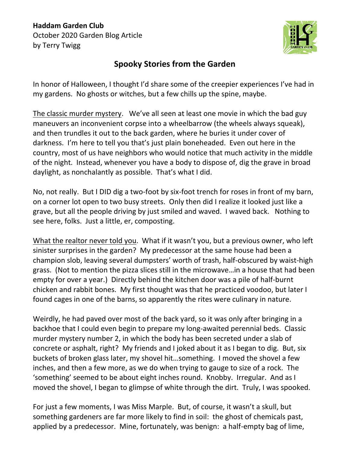

## **Spooky Stories from the Garden**

In honor of Halloween, I thought I'd share some of the creepier experiences I've had in my gardens. No ghosts or witches, but a few chills up the spine, maybe.

The classic murder mystery. We've all seen at least one movie in which the bad guy maneuvers an inconvenient corpse into a wheelbarrow (the wheels always squeak), and then trundles it out to the back garden, where he buries it under cover of darkness. I'm here to tell you that's just plain boneheaded. Even out here in the country, most of us have neighbors who would notice that much activity in the middle of the night. Instead, whenever you have a body to dispose of, dig the grave in broad daylight, as nonchalantly as possible. That's what I did.

No, not really. But I DID dig a two-foot by six-foot trench for roses in front of my barn, on a corner lot open to two busy streets. Only then did I realize it looked just like a grave, but all the people driving by just smiled and waved. I waved back. Nothing to see here, folks. Just a little, er, composting.

What the realtor never told you. What if it wasn't you, but a previous owner, who left sinister surprises in the garden? My predecessor at the same house had been a champion slob, leaving several dumpsters' worth of trash, half-obscured by waist-high grass. (Not to mention the pizza slices still in the microwave…in a house that had been empty for over a year.) Directly behind the kitchen door was a pile of half-burnt chicken and rabbit bones. My first thought was that he practiced voodoo, but later I found cages in one of the barns, so apparently the rites were culinary in nature.

Weirdly, he had paved over most of the back yard, so it was only after bringing in a backhoe that I could even begin to prepare my long-awaited perennial beds. Classic murder mystery number 2, in which the body has been secreted under a slab of concrete or asphalt, right? My friends and I joked about it as I began to dig. But, six buckets of broken glass later, my shovel hit…something. I moved the shovel a few inches, and then a few more, as we do when trying to gauge to size of a rock. The 'something' seemed to be about eight inches round. Knobby. Irregular. And as I moved the shovel, I began to glimpse of white through the dirt. Truly, I was spooked.

For just a few moments, I was Miss Marple. But, of course, it wasn't a skull, but something gardeners are far more likely to find in soil: the ghost of chemicals past, applied by a predecessor. Mine, fortunately, was benign: a half-empty bag of lime,